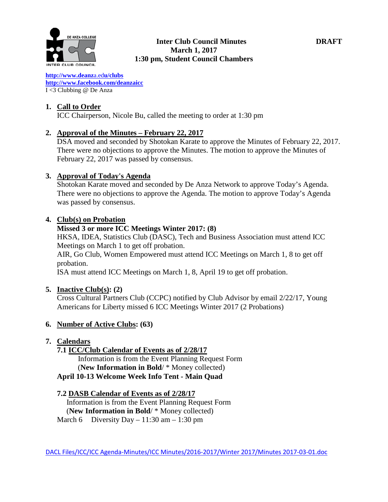

**[http://www.deanz](http://www.deanza.edu/clubs)**[a.ed](http://www.deanza.edu/clubs)**[u/clubs](http://www.deanza.edu/clubs) [http://www.facebook.com/deanzaicc](http://www.facebook.com/home.php#!/group.php?gid=59034552686)** I <3 Clubbing @ De Anza

#### **1. Call to Order**

ICC Chairperson, Nicole Bu, called the meeting to order at 1:30 pm

#### **2. Approval of the Minutes – February 22, 2017**

DSA moved and seconded by Shotokan Karate to approve the Minutes of February 22, 2017. There were no objections to approve the Minutes. The motion to approve the Minutes of February 22, 2017 was passed by consensus.

#### **3. Approval of Today's Agenda**

Shotokan Karate moved and seconded by De Anza Network to approve Today's Agenda. There were no objections to approve the Agenda. The motion to approve Today's Agenda was passed by consensus.

#### **4. Club(s) on Probation**

#### **Missed 3 or more ICC Meetings Winter 2017: (8)**

HKSA, IDEA, Statistics Club (DASC), Tech and Business Association must attend ICC Meetings on March 1 to get off probation.

AIR, Go Club, Women Empowered must attend ICC Meetings on March 1, 8 to get off probation.

ISA must attend ICC Meetings on March 1, 8, April 19 to get off probation.

#### **5. Inactive Club(s): (2)**

Cross Cultural Partners Club (CCPC) notified by Club Advisor by email 2/22/17, Young Americans for Liberty missed 6 ICC Meetings Winter 2017 (2 Probations)

# **6. Number of Active Clubs: (63)**

# **7. Calendars**

**7.1 ICC/Club Calendar of Events as of 2/28/17**

 Information is from the Event Planning Request Form (**New Information in Bold**/ \* Money collected)

# **April 10-13 Welcome Week Info Tent - Main Quad**

#### **7.2 DASB Calendar of Events as of 2/28/17**

Information is from the Event Planning Request Form (**New Information in Bold**/ \* Money collected) March 6 Diversity Day – 11:30 am – 1:30 pm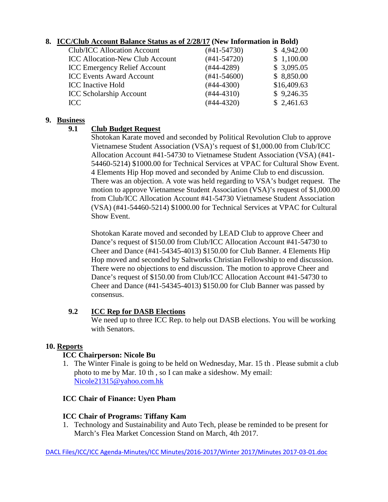# **8. ICC/Club Account Balance Status as of 2/28/17 (New Information in Bold)**

| Club/ICC Allocation Account            | $(#41-54730)$ | \$4,942.00  |
|----------------------------------------|---------------|-------------|
| <b>ICC Allocation-New Club Account</b> | $(#41-54720)$ | \$1,100.00  |
| <b>ICC Emergency Relief Account</b>    | $(#44-4289)$  | \$3,095.05  |
| <b>ICC Events Award Account</b>        | $(#41-54600)$ | \$8,850.00  |
| <b>ICC</b> Inactive Hold               | $(#44-4300)$  | \$16,409.63 |
| <b>ICC Scholarship Account</b>         | $(#44-4310)$  | \$9,246.35  |
| ICC                                    | $(#44-4320)$  | \$2,461.63  |
|                                        |               |             |

#### **9. Business**

# **9.1 Club Budget Request**

Shotokan Karate moved and seconded by Political Revolution Club to approve Vietnamese Student Association (VSA)'s request of \$1,000.00 from Club/ICC Allocation Account #41-54730 to Vietnamese Student Association (VSA) (#41- 54460-5214) \$1000.00 for Technical Services at VPAC for Cultural Show Event. 4 Elements Hip Hop moved and seconded by Anime Club to end discussion. There was an objection. A vote was held regarding to VSA's budget request. The motion to approve Vietnamese Student Association (VSA)'s request of \$1,000.00 from Club/ICC Allocation Account #41-54730 Vietnamese Student Association (VSA) (#41-54460-5214) \$1000.00 for Technical Services at VPAC for Cultural Show Event.

Shotokan Karate moved and seconded by LEAD Club to approve Cheer and Dance's request of \$150.00 from Club/ICC Allocation Account #41-54730 to Cheer and Dance (#41-54345-4013) \$150.00 for Club Banner. 4 Elements Hip Hop moved and seconded by Saltworks Christian Fellowship to end discussion. There were no objections to end discussion. The motion to approve Cheer and Dance's request of \$150.00 from Club/ICC Allocation Account #41-54730 to Cheer and Dance (#41-54345-4013) \$150.00 for Club Banner was passed by consensus.

# **9.2 ICC Rep for DASB Elections**

We need up to three ICC Rep. to help out DASB elections. You will be working with Senators.

# **10. Reports**

# **ICC Chairperson: Nicole Bu**

1. The Winter Finale is going to be held on Wednesday, Mar. 15 th . Please submit a club photo to me by Mar. 10 th , so I can make a sideshow. My email: [Nicole21315@yahoo.com.hk](mailto:Nicole21315@yahoo.com.hk)

#### **ICC Chair of Finance: Uyen Pham**

# **ICC Chair of Programs: Tiffany Kam**

1. Technology and Sustainability and Auto Tech, please be reminded to be present for March's Flea Market Concession Stand on March, 4th 2017.

DACL Files/ICC/ICC Agenda-Minutes/ICC Minutes/2016-2017/Winter 2017/Minutes 2017-03-01.doc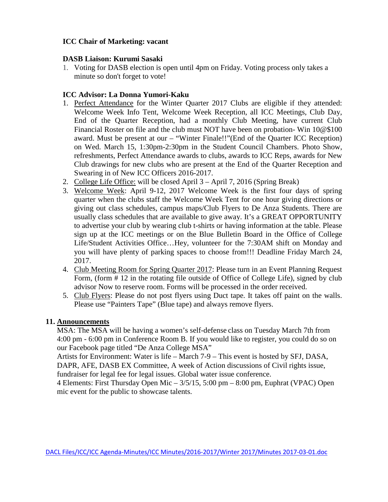# **ICC Chair of Marketing: vacant**

# **DASB Liaison: Kurumi Sasaki**

1. Voting for DASB election is open until 4pm on Friday. Voting process only takes a minute so don't forget to vote!

# **ICC Advisor: La Donna Yumori-Kaku**

- 1. Perfect Attendance for the Winter Quarter 2017 Clubs are eligible if they attended: Welcome Week Info Tent, Welcome Week Reception, all ICC Meetings, Club Day, End of the Quarter Reception, had a monthly Club Meeting, have current Club Financial Roster on file and the club must NOT have been on probation- Win 10@\$100 award. Must be present at our – "Winter Finale!!"(End of the Quarter ICC Reception) on Wed. March 15, 1:30pm-2:30pm in the Student Council Chambers. Photo Show, refreshments, Perfect Attendance awards to clubs, awards to ICC Reps, awards for New Club drawings for new clubs who are present at the End of the Quarter Reception and Swearing in of New ICC Officers 2016-2017.
- 2. College Life Office: will be closed April 3 April 7, 2016 (Spring Break)
- 3. Welcome Week: April 9-12, 2017 Welcome Week is the first four days of spring quarter when the clubs staff the Welcome Week Tent for one hour giving directions or giving out class schedules, campus maps/Club Flyers to De Anza Students. There are usually class schedules that are available to give away. It's a GREAT OPPORTUNITY to advertise your club by wearing club t-shirts or having information at the table. Please sign up at the ICC meetings or on the Blue Bulletin Board in the Office of College Life/Student Activities Office…Hey, volunteer for the 7:30AM shift on Monday and you will have plenty of parking spaces to choose from!!! Deadline Friday March 24, 2017.
- 4. Club Meeting Room for Spring Quarter 2017: Please turn in an Event Planning Request Form, (form # 12 in the rotating file outside of Office of College Life), signed by club advisor Now to reserve room. Forms will be processed in the order received.
- 5. Club Flyers: Please do not post flyers using Duct tape. It takes off paint on the walls. Please use "Painters Tape" (Blue tape) and always remove flyers.

# **11. Announcements**

MSA: The MSA will be having a women's self-defense class on Tuesday March 7th from 4:00 pm - 6:00 pm in Conference Room B. If you would like to register, you could do so on our Facebook page titled "De Anza College MSA"

Artists for Environment: Water is life – March 7-9 – This event is hosted by SFJ, DASA, DAPR, AFE, DASB EX Committee, A week of Action discussions of Civil rights issue, fundraiser for legal fee for legal issues. Global water issue conference.

4 Elements: First Thursday Open Mic – 3/5/15, 5:00 pm – 8:00 pm, Euphrat (VPAC) Open mic event for the public to showcase talents.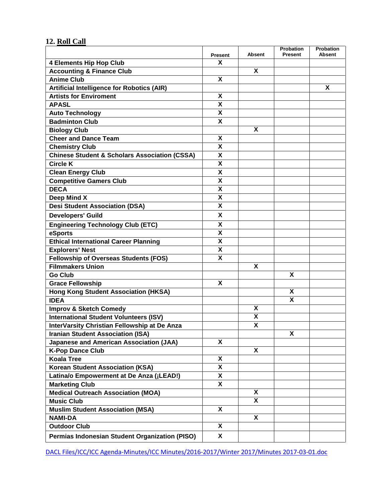# **12. Roll Call**

|                                                          | <b>Present</b>            | Absent                    | Probation<br><b>Present</b> | <b>Probation</b><br>Absent |
|----------------------------------------------------------|---------------------------|---------------------------|-----------------------------|----------------------------|
| <b>4 Elements Hip Hop Club</b>                           | X                         |                           |                             |                            |
| <b>Accounting &amp; Finance Club</b>                     |                           | X                         |                             |                            |
| <b>Anime Club</b>                                        | X                         |                           |                             |                            |
| <b>Artificial Intelligence for Robotics (AIR)</b>        |                           |                           |                             | X                          |
| <b>Artists for Enviroment</b>                            | X                         |                           |                             |                            |
| <b>APASL</b>                                             | $\boldsymbol{\mathsf{X}}$ |                           |                             |                            |
| <b>Auto Technology</b>                                   | $\overline{\mathsf{x}}$   |                           |                             |                            |
| <b>Badminton Club</b>                                    | X                         |                           |                             |                            |
| <b>Biology Club</b>                                      |                           | X                         |                             |                            |
| <b>Cheer and Dance Team</b>                              | X                         |                           |                             |                            |
| <b>Chemistry Club</b>                                    | X                         |                           |                             |                            |
| <b>Chinese Student &amp; Scholars Association (CSSA)</b> | X                         |                           |                             |                            |
| <b>Circle K</b>                                          | X                         |                           |                             |                            |
| <b>Clean Energy Club</b>                                 | $\boldsymbol{\mathsf{X}}$ |                           |                             |                            |
| <b>Competitive Gamers Club</b>                           | X                         |                           |                             |                            |
| <b>DECA</b>                                              | $\overline{\mathsf{x}}$   |                           |                             |                            |
| Deep Mind X                                              | X                         |                           |                             |                            |
| <b>Desi Student Association (DSA)</b>                    | X                         |                           |                             |                            |
| <b>Developers' Guild</b>                                 | X                         |                           |                             |                            |
| <b>Engineering Technology Club (ETC)</b>                 | X                         |                           |                             |                            |
| eSports                                                  | $\overline{\mathsf{x}}$   |                           |                             |                            |
| <b>Ethical International Career Planning</b>             | X                         |                           |                             |                            |
| <b>Explorers' Nest</b>                                   | X                         |                           |                             |                            |
| <b>Fellowship of Overseas Students (FOS)</b>             | X                         |                           |                             |                            |
| <b>Filmmakers Union</b>                                  |                           | X                         |                             |                            |
| <b>Go Club</b>                                           |                           |                           | X                           |                            |
| <b>Grace Fellowship</b>                                  | X                         |                           |                             |                            |
| <b>Hong Kong Student Association (HKSA)</b>              |                           |                           | X                           |                            |
| <b>IDEA</b>                                              |                           |                           | X                           |                            |
| <b>Improv &amp; Sketch Comedy</b>                        |                           | X                         |                             |                            |
| <b>International Student Volunteers (ISV)</b>            |                           | χ                         |                             |                            |
| InterVarsity Christian Fellowship at De Anza             |                           | $\boldsymbol{\mathsf{X}}$ |                             |                            |
| <b>Iranian Student Association (ISA)</b>                 |                           |                           | X                           |                            |
| <b>Japanese and American Association (JAA)</b>           | X                         |                           |                             |                            |
| <b>K-Pop Dance Club</b>                                  |                           | X                         |                             |                            |
| <b>Koala Tree</b>                                        | X                         |                           |                             |                            |
| <b>Korean Student Association (KSA)</b>                  | X                         |                           |                             |                            |
| Latina/o Empowerment at De Anza (¡LEAD!)                 | X                         |                           |                             |                            |
| <b>Marketing Club</b>                                    | X                         |                           |                             |                            |
| <b>Medical Outreach Association (MOA)</b>                |                           | X                         |                             |                            |
| <b>Music Club</b>                                        |                           | X                         |                             |                            |
| <b>Muslim Student Association (MSA)</b>                  | X                         |                           |                             |                            |
| <b>NAMI-DA</b>                                           |                           | X                         |                             |                            |
| <b>Outdoor Club</b>                                      | X                         |                           |                             |                            |
| Permias Indonesian Student Organization (PISO)           | X                         |                           |                             |                            |
|                                                          |                           |                           |                             |                            |

DACL Files/ICC/ICC Agenda-Minutes/ICC Minutes/2016-2017/Winter 2017/Minutes 2017-03-01.doc